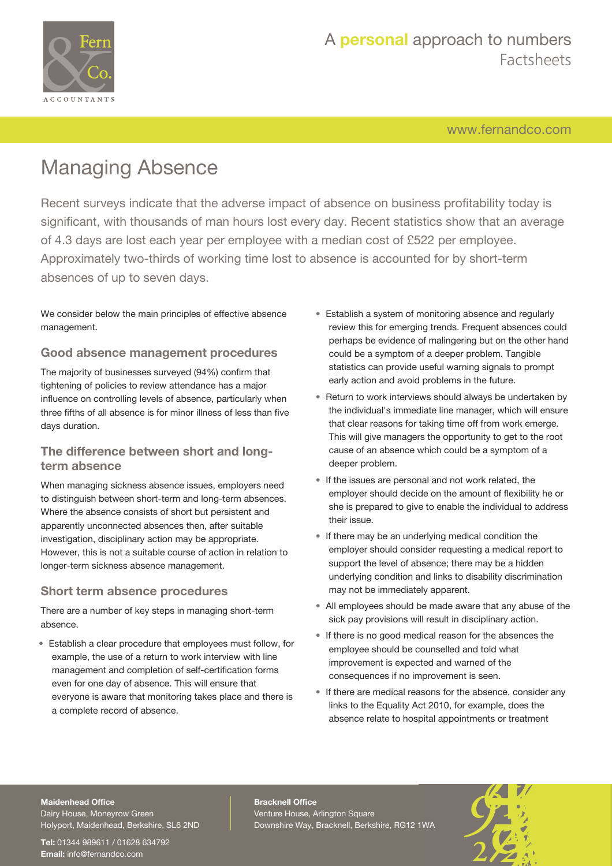

## A **personal** approach to numbers Factsheets

[www.fernandco.com](http://www.fernandco.com)

# Managing Absence

Recent surveys indicate that the adverse impact of absence on business profitability today is significant, with thousands of man hours lost every day. Recent statistics show that an average of 4.3 days are lost each year per employee with a median cost of £522 per employee. Approximately two-thirds of working time lost to absence is accounted for by short-term absences of up to seven days.

We consider below the main principles of effective absence management.

### **Good absence management procedures**

The majority of businesses surveyed (94%) confirm that tightening of policies to review attendance has a major influence on controlling levels of absence, particularly when three fifths of all absence is for minor illness of less than five days duration.

### **The difference between short and longterm absence**

When managing sickness absence issues, employers need to distinguish between short-term and long-term absences. Where the absence consists of short but persistent and apparently unconnected absences then, after suitable investigation, disciplinary action may be appropriate. However, this is not a suitable course of action in relation to longer-term sickness absence management.

### **Short term absence procedures**

There are a number of key steps in managing short-term absence.

• Establish a clear procedure that employees must follow, for example, the use of a return to work interview with line management and completion of self-certification forms even for one day of absence. This will ensure that everyone is aware that monitoring takes place and there is a complete record of absence.

- Establish a system of monitoring absence and regularly review this for emerging trends. Frequent absences could perhaps be evidence of malingering but on the other hand could be a symptom of a deeper problem. Tangible statistics can provide useful warning signals to prompt early action and avoid problems in the future.
- Return to work interviews should always be undertaken by the individual's immediate line manager, which will ensure that clear reasons for taking time off from work emerge. This will give managers the opportunity to get to the root cause of an absence which could be a symptom of a deeper problem.
- If the issues are personal and not work related, the employer should decide on the amount of flexibility he or she is prepared to give to enable the individual to address their issue.
- If there may be an underlying medical condition the employer should consider requesting a medical report to support the level of absence; there may be a hidden underlying condition and links to disability discrimination may not be immediately apparent.
- All employees should be made aware that any abuse of the sick pay provisions will result in disciplinary action.
- If there is no good medical reason for the absences the employee should be counselled and told what improvement is expected and warned of the consequences if no improvement is seen.
- If there are medical reasons for the absence, consider any links to the Equality Act 2010, for example, does the absence relate to hospital appointments or treatment

### **Maidenhead Office**

Dairy House, Moneyrow Green Holyport, Maidenhead, Berkshire, SL6 2ND

**Tel:** 01344 989611 / 01628 634792 **Email:** [info@fernandco.com](mailto:info@fernandco.com)

**Bracknell Office** Venture House, Arlington Square Downshire Way, Bracknell, Berkshire, RG12 1WA

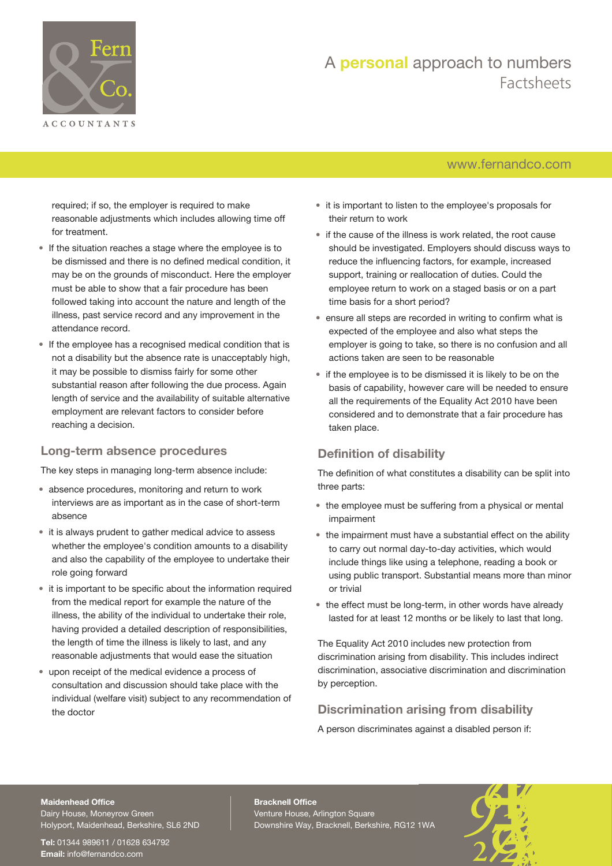

## A **personal** approach to numbers Factsheets

## [www.fernandco.com](http://www.fernandco.com)

required; if so, the employer is required to make reasonable adjustments which includes allowing time off for treatment.

- If the situation reaches a stage where the employee is to be dismissed and there is no defined medical condition, it may be on the grounds of misconduct. Here the employer must be able to show that a fair procedure has been followed taking into account the nature and length of the illness, past service record and any improvement in the attendance record.
- If the employee has a recognised medical condition that is not a disability but the absence rate is unacceptably high, it may be possible to dismiss fairly for some other substantial reason after following the due process. Again length of service and the availability of suitable alternative employment are relevant factors to consider before reaching a decision.

## **Long-term absence procedures**

The key steps in managing long-term absence include:

- absence procedures, monitoring and return to work interviews are as important as in the case of short-term absence
- it is always prudent to gather medical advice to assess whether the employee's condition amounts to a disability and also the capability of the employee to undertake their role going forward
- it is important to be specific about the information required from the medical report for example the nature of the illness, the ability of the individual to undertake their role, having provided a detailed description of responsibilities, the length of time the illness is likely to last, and any reasonable adjustments that would ease the situation
- upon receipt of the medical evidence a process of consultation and discussion should take place with the individual (welfare visit) subject to any recommendation of the doctor
- it is important to listen to the employee's proposals for their return to work
- if the cause of the illness is work related, the root cause should be investigated. Employers should discuss ways to reduce the influencing factors, for example, increased support, training or reallocation of duties. Could the employee return to work on a staged basis or on a part time basis for a short period?
- ensure all steps are recorded in writing to confirm what is expected of the employee and also what steps the employer is going to take, so there is no confusion and all actions taken are seen to be reasonable
- if the employee is to be dismissed it is likely to be on the basis of capability, however care will be needed to ensure all the requirements of the Equality Act 2010 have been considered and to demonstrate that a fair procedure has taken place.

## **Definition of disability**

The definition of what constitutes a disability can be split into three parts:

- the employee must be suffering from a physical or mental impairment
- the impairment must have a substantial effect on the ability to carry out normal day-to-day activities, which would include things like using a telephone, reading a book or using public transport. Substantial means more than minor or trivial
- the effect must be long-term, in other words have already lasted for at least 12 months or be likely to last that long.

The Equality Act 2010 includes new protection from discrimination arising from disability. This includes indirect discrimination, associative discrimination and discrimination by perception.

## **Discrimination arising from disability**

A person discriminates against a disabled person if:

#### **Maidenhead Office**

Dairy House, Moneyrow Green Holyport, Maidenhead, Berkshire, SL6 2ND

**Tel:** 01344 989611 / 01628 634792 **Email:** [info@fernandco.com](mailto:info@fernandco.com)

**Bracknell Office** Venture House, Arlington Square Downshire Way, Bracknell, Berkshire, RG12 1WA